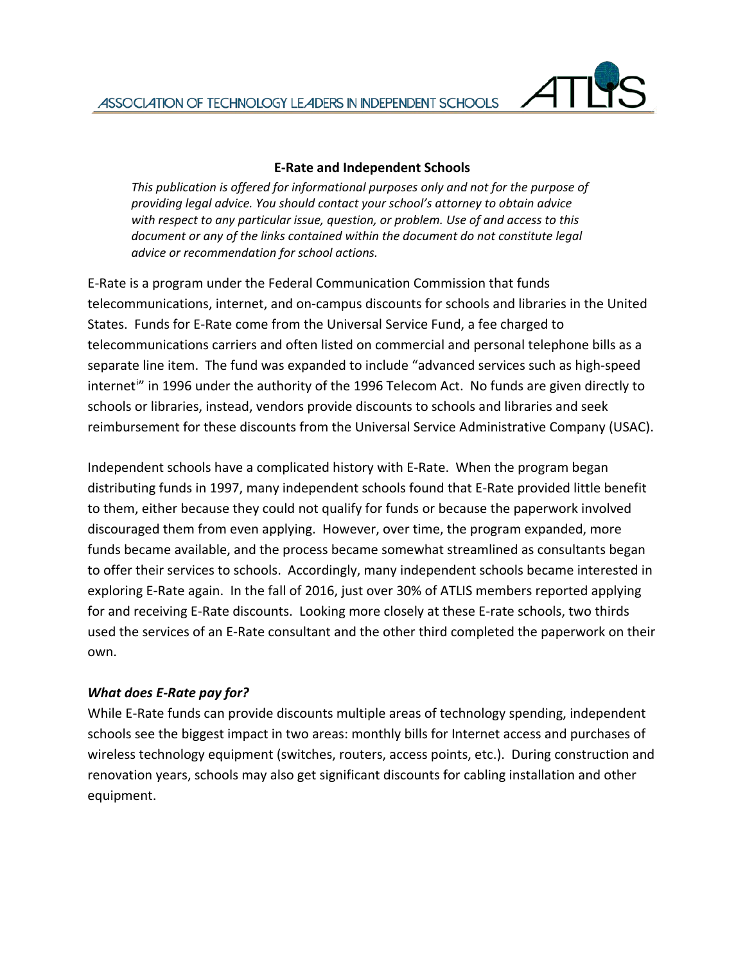

#### **E-Rate and Independent Schools**

*This publication is offered for informational purposes only and not for the purpose of providing legal advice. You should contact your school's attorney to obtain advice with respect to any particular issue, question, or problem. Use of and access to this document or any of the links contained within the document do not constitute legal advice or recommendation for school actions.*

E-Rate is a program under the Federal Communication Commission that funds telecommunications, internet, and on-campus discounts for schools and libraries in the United States. Funds for E-Rate come from the Universal Service Fund, a fee charged to telecommunications carriers and often listed on commercial and personal telephone bills as a separate line item. The fund was expanded to include "advanced services such as high-speed [i](#page-2-0)nternet<sup>i</sup>" in 1996 under the authority of the 1996 Telecom Act. No funds are given directly to schools or libraries, instead, vendors provide discounts to schools and libraries and seek reimbursement for these discounts from the Universal Service Administrative Company (USAC).

Independent schools have a complicated history with E-Rate. When the program began distributing funds in 1997, many independent schools found that E-Rate provided little benefit to them, either because they could not qualify for funds or because the paperwork involved discouraged them from even applying. However, over time, the program expanded, more funds became available, and the process became somewhat streamlined as consultants began to offer their services to schools. Accordingly, many independent schools became interested in exploring E-Rate again. In the fall of 2016, just over 30% of ATLIS members reported applying for and receiving E-Rate discounts. Looking more closely at these E-rate schools, two thirds used the services of an E-Rate consultant and the other third completed the paperwork on their own.

#### *What does E-Rate pay for?*

While E-Rate funds can provide discounts multiple areas of technology spending, independent schools see the biggest impact in two areas: monthly bills for Internet access and purchases of wireless technology equipment (switches, routers, access points, etc.). During construction and renovation years, schools may also get significant discounts for cabling installation and other equipment.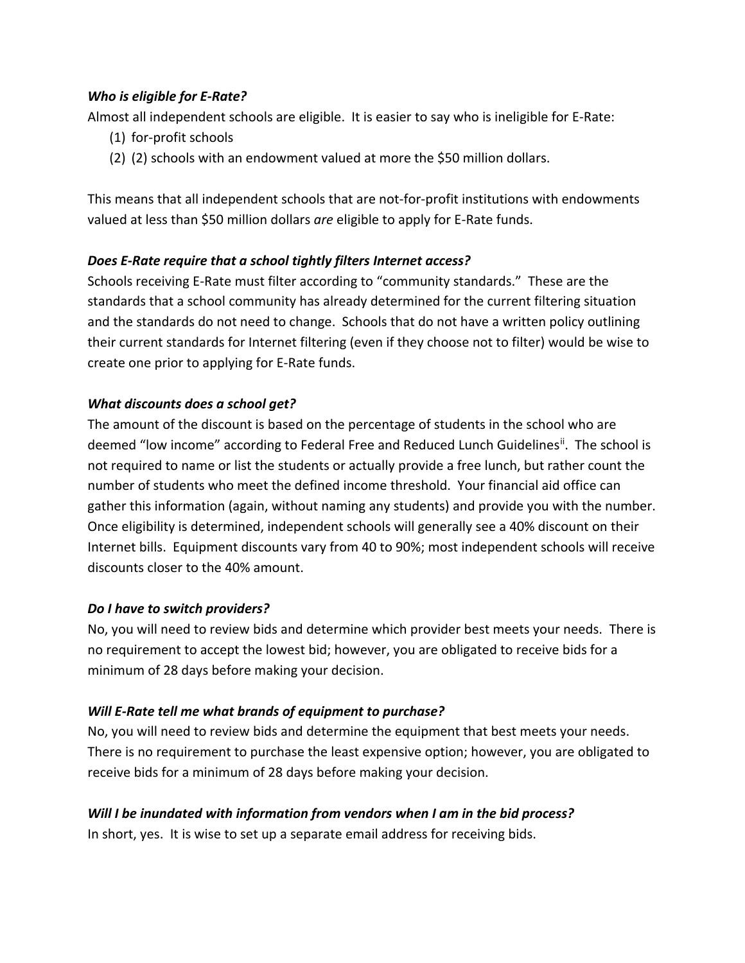### *Who is eligible for E-Rate?*

Almost all independent schools are eligible. It is easier to say who is ineligible for E-Rate:

- (1) for-profit schools
- (2) (2) schools with an endowment valued at more the \$50 million dollars.

This means that all independent schools that are not-for-profit institutions with endowments valued at less than \$50 million dollars *are* eligible to apply for E-Rate funds.

## *Does E-Rate require that a school tightly filters Internet access?*

Schools receiving E-Rate must filter according to "community standards." These are the standards that a school community has already determined for the current filtering situation and the standards do not need to change. Schools that do not have a written policy outlining their current standards for Internet filtering (even if they choose not to filter) would be wise to create one prior to applying for E-Rate funds.

### *What discounts does a school get?*

The amount of the discount is based on the percentage of students in the school who are deemed "low income" according to Federal Free and Reduced Lunch Guidelines<sup>[ii](#page-2-1)</sup>. The school is not required to name or list the students or actually provide a free lunch, but rather count the number of students who meet the defined income threshold. Your financial aid office can gather this information (again, without naming any students) and provide you with the number. Once eligibility is determined, independent schools will generally see a 40% discount on their Internet bills. Equipment discounts vary from 40 to 90%; most independent schools will receive discounts closer to the 40% amount.

#### *Do I have to switch providers?*

No, you will need to review bids and determine which provider best meets your needs. There is no requirement to accept the lowest bid; however, you are obligated to receive bids for a minimum of 28 days before making your decision.

## *Will E-Rate tell me what brands of equipment to purchase?*

No, you will need to review bids and determine the equipment that best meets your needs. There is no requirement to purchase the least expensive option; however, you are obligated to receive bids for a minimum of 28 days before making your decision.

## *Will I be inundated with information from vendors when I am in the bid process?*

In short, yes. It is wise to set up a separate email address for receiving bids.